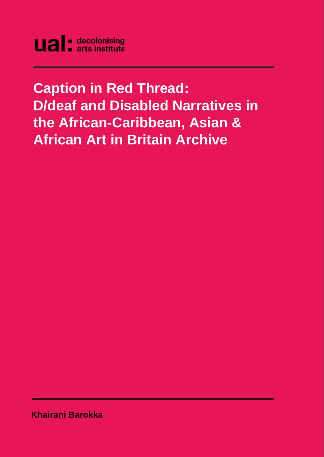**Caption in Red Thread: D/deaf and Disabled Narratives in the African-Caribbean, Asian & African Art in Britain Archive** 

**Khairani Barokka**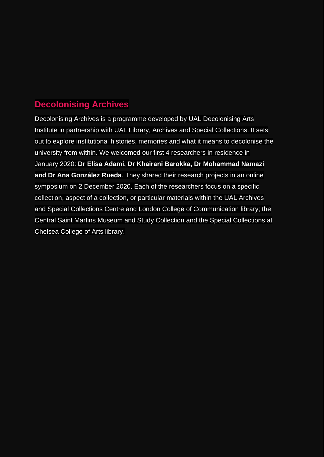# <span id="page-1-0"></span>**Decolonising Archives**

Decolonising Archives is a programme developed by UAL Decolonising Arts Institute in partnership with UAL Library, Archives and Special Collections. It sets out to explore institutional histories, memories and what it means to decolonise the university from within. We welcomed our first 4 researchers in residence in January 2020: **Dr Elisa Adami, Dr Khairani Barokka, Dr Mohammad Namazi and Dr Ana González Rueda**. They shared their research projects in an online symposium on 2 December 2020. Each of the researchers focus on a specific collection, aspect of a collection, or particular materials within the UAL Archives and Special Collections Centre and London College of Communication library; the Central Saint Martins Museum and Study Collection and the Special Collections at Chelsea College of Arts library.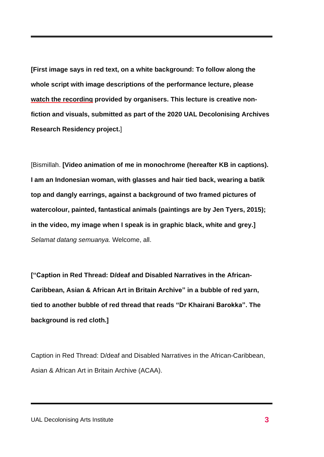**[First image says in red text, on a white background: To follow along the whole script with image descriptions of the performance lecture, please watch the [recording](https://www.arts.ac.uk/ual-decolonising-arts-institute/projects/decolonising-archives-research-residencies) provided by organisers. This lecture is creative nonfiction and visuals, submitted as part of the 2020 UAL Decolonising Archives Research Residency project.**]

[Bismillah. **[Video animation of me in monochrome (hereafter KB in captions). I am an Indonesian woman, with glasses and hair tied back, wearing a batik top and dangly earrings, against a background of two framed pictures of watercolour, painted, fantastical animals (paintings are by Jen Tyers, 2015); in the video, my image when I speak is in graphic black, white and grey.]** *Selamat datang semuanya.* Welcome, all.

**["Caption in Red Thread: D/deaf and Disabled Narratives in the African-Caribbean, Asian & African Art in Britain Archive" in a bubble of red yarn, tied to another bubble of red thread that reads "Dr Khairani Barokka". The background is red cloth.]**

Caption in Red Thread: D/deaf and Disabled Narratives in the African-Caribbean, Asian & African Art in Britain Archive (ACAA).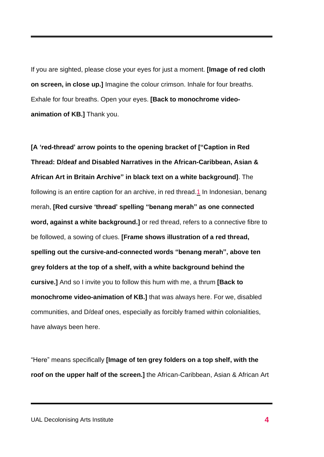If you are sighted, please close your eyes for just a moment. **[Image of red cloth on screen, in close up.]** Imagine the colour crimson. Inhale for four breaths. Exhale for four breaths. Open your eyes. **[Back to monochrome videoanimation of KB.]** Thank you.

**[A 'red-thread' arrow points to the opening bracket of ["Caption in Red Thread: D/deaf and Disabled Narratives in the African-Caribbean, Asian & African Art in Britain Archive" in black text on a white background]**. The following is an entire caption for an archive, in red thread[.1](#page-1-0) In Indonesian, benang merah, **[Red cursive 'thread' spelling "benang merah" as one connected word, against a white background.]** or red thread, refers to a connective fibre to be followed, a sowing of clues. **[Frame shows illustration of a red thread, spelling out the cursive-and-connected words "benang merah", above ten grey folders at the top of a shelf, with a white background behind the cursive.]** And so I invite you to follow this hum with me, a thrum **[Back to monochrome video-animation of KB.]** that was always here. For we, disabled communities, and D/deaf ones, especially as forcibly framed within colonialities, have always been here.

"Here" means specifically **[Image of ten grey folders on a top shelf, with the roof on the upper half of the screen.]** the African-Caribbean, Asian & African Art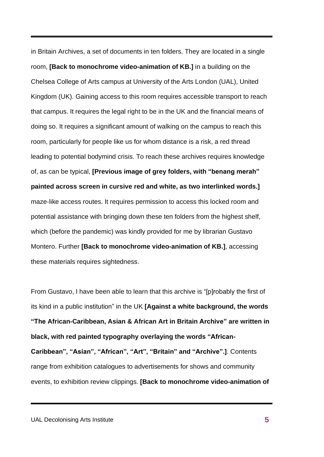in Britain Archives, a set of documents in ten folders. They are located in a single room, **[Back to monochrome video-animation of KB.]** in a building on the Chelsea College of Arts campus at University of the Arts London (UAL), United Kingdom (UK). Gaining access to this room requires accessible transport to reach that campus. It requires the legal right to be in the UK and the financial means of doing so. It requires a significant amount of walking on the campus to reach this room, particularly for people like us for whom distance is a risk, a red thread leading to potential bodymind crisis. To reach these archives requires knowledge of, as can be typical, **[Previous image of grey folders, with "benang merah" painted across screen in cursive red and white, as two interlinked words.]** maze-like access routes. It requires permission to access this locked room and potential assistance with bringing down these ten folders from the highest shelf, which (before the pandemic) was kindly provided for me by librarian Gustavo Montero. Further **[Back to monochrome video-animation of KB.]**, accessing these materials requires sightedness.

From Gustavo, I have been able to learn that this archive is "[p]robably the first of its kind in a public institution" in the UK **[Against a white background, the words "The African-Caribbean, Asian & African Art in Britain Archive" are written in black, with red painted typography overlaying the words "African-Caribbean", "Asian", "African", "Art", "Britain" and "Archive".]**. Contents range from exhibition catalogues to advertisements for shows and community events, to exhibition review clippings. **[Back to monochrome video-animation of**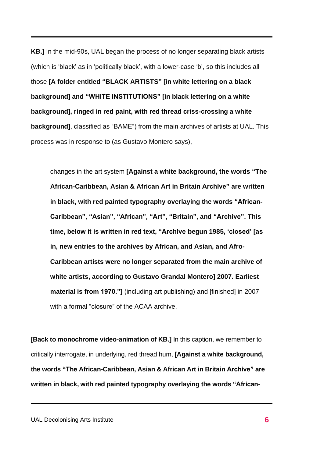**KB.]** In the mid-90s, UAL began the process of no longer separating black artists (which is 'black' as in 'politically black', with a lower-case 'b', so this includes all those **[A folder entitled "BLACK ARTISTS" [in white lettering on a black background] and "WHITE INSTITUTIONS" [in black lettering on a white background], ringed in red paint, with red thread criss-crossing a white background]**, classified as "BAME") from the main archives of artists at UAL. This process was in response to (as Gustavo Montero says),

changes in the art system **[Against a white background, the words "The African-Caribbean, Asian & African Art in Britain Archive" are written in black, with red painted typography overlaying the words "African-Caribbean", "Asian", "African", "Art", "Britain", and "Archive". This time, below it is written in red text, "Archive begun 1985, 'closed' [as in, new entries to the archives by African, and Asian, and Afro-Caribbean artists were no longer separated from the main archive of white artists, according to Gustavo Grandal Montero] 2007. Earliest material is from 1970."]** (including art publishing) and [finished] in 2007 with a formal "closure" of the ACAA archive.

**[Back to monochrome video-animation of KB.]** In this caption, we remember to critically interrogate, in underlying, red thread hum, **[Against a white background, the words "The African-Caribbean, Asian & African Art in Britain Archive" are written in black, with red painted typography overlaying the words "African-**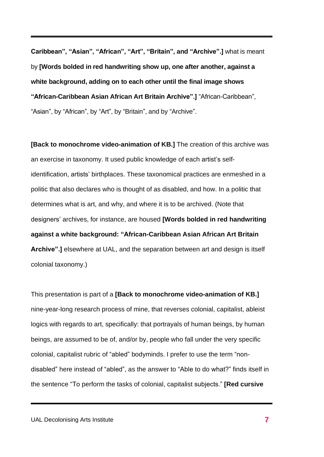**Caribbean", "Asian", "African", "Art", "Britain", and "Archive".]** what is meant by **[Words bolded in red handwriting show up, one after another, against a white background, adding on to each other until the final image shows "African-Caribbean Asian African Art Britain Archive".]** "African-Caribbean", "Asian", by "African", by "Art", by "Britain", and by "Archive".

**[Back to monochrome video-animation of KB.]** The creation of this archive was an exercise in taxonomy. It used public knowledge of each artist's selfidentification, artists' birthplaces. These taxonomical practices are enmeshed in a politic that also declares who is thought of as disabled, and how. In a politic that determines what is art, and why, and where it is to be archived. (Note that designers' archives, for instance, are housed **[Words bolded in red handwriting against a white background: "African-Caribbean Asian African Art Britain Archive".]** elsewhere at UAL, and the separation between art and design is itself colonial taxonomy.)

This presentation is part of a **[Back to monochrome video-animation of KB.]** nine-year-long research process of mine, that reverses colonial, capitalist, ableist logics with regards to art, specifically: that portrayals of human beings, by human beings, are assumed to be of, and/or by, people who fall under the very specific colonial, capitalist rubric of "abled" bodyminds. I prefer to use the term "nondisabled" here instead of "abled", as the answer to "Able to do what?" finds itself in the sentence "To perform the tasks of colonial, capitalist subjects." **[Red cursive**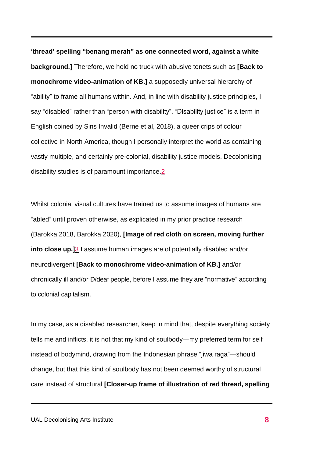**'thread' spelling "benang merah" as one connected word, against a white background.]** Therefore, we hold no truck with abusive tenets such as **[Back to monochrome video-animation of KB.]** a supposedly universal hierarchy of "ability" to frame all humans within. And, in line with disability justice principles, I say "disabled" rather than "person with disability". "Disability justice" is a term in English coined by Sins Invalid (Berne et al, 2018), a queer crips of colour collective in North America, though I personally interpret the world as containing vastly multiple, and certainly pre-colonial, disability justice models. Decolonising disability studies is of paramount importance[.2](#page-1-0)

Whilst colonial visual cultures have trained us to assume images of humans are "abled" until proven otherwise, as explicated in my prior practice research (Barokka 2018, Barokka 2020), **[Image of red cloth on screen, moving further into close up.]**[3](#page-1-0) I assume human images are of potentially disabled and/or neurodivergent **[Back to monochrome video-animation of KB.]** and/or chronically ill and/or D/deaf people, before I assume they are "normative" according to colonial capitalism.

In my case, as a disabled researcher, keep in mind that, despite everything society tells me and inflicts, it is not that my kind of soulbody—my preferred term for self instead of bodymind, drawing from the Indonesian phrase "jiwa raga"—should change, but that this kind of soulbody has not been deemed worthy of structural care instead of structural **[Closer-up frame of illustration of red thread, spelling**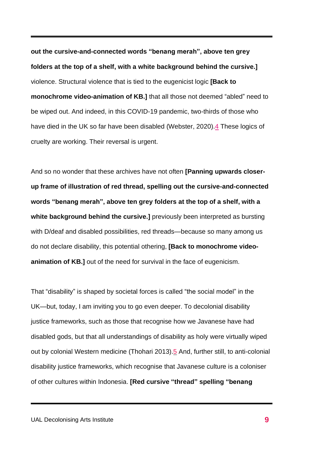**out the cursive-and-connected words "benang merah", above ten grey folders at the top of a shelf, with a white background behind the cursive.]** violence. Structural violence that is tied to the eugenicist logic **[Back to monochrome video-animation of KB.]** that all those not deemed "abled" need to be wiped out. And indeed, in this COVID-19 pandemic, two-thirds of those who have died in the UK so far have been disabled (Webster, 2020)[.4](#page-1-0) These logics of cruelty are working. Their reversal is urgent.

And so no wonder that these archives have not often **[Panning upwards closerup frame of illustration of red thread, spelling out the cursive-and-connected words "benang merah", above ten grey folders at the top of a shelf, with a white background behind the cursive.]** previously been interpreted as bursting with D/deaf and disabled possibilities, red threads—because so many among us do not declare disability, this potential othering, **[Back to monochrome videoanimation of KB.]** out of the need for survival in the face of eugenicism.

That "disability" is shaped by societal forces is called "the social model" in the UK—but, today, I am inviting you to go even deeper. To decolonial disability justice frameworks, such as those that recognise how we Javanese have had disabled gods, but that all understandings of disability as holy were virtually wiped out by colonial Western medicine (Thohari 2013)[.5](#page-1-0) And, further still, to anti-colonial disability justice frameworks, which recognise that Javanese culture is a coloniser of other cultures within Indonesia. **[Red cursive "thread" spelling "benang**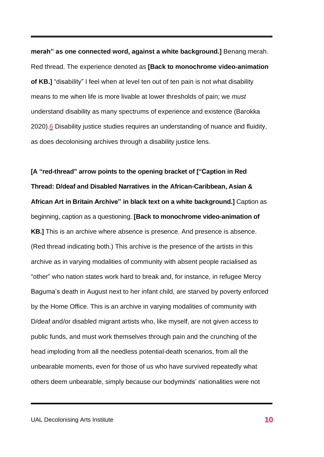**merah" as one connected word, against a white background.]** Benang merah. Red thread. The experience denoted as **[Back to monochrome video-animation of KB.]** "disability" I feel when at level ten out of ten pain is not what disability means to me when life is more livable at lower thresholds of pain; we *must* understand disability as many spectrums of experience and existence (Barokka 2020)[.6](#page-1-0) Disability justice studies requires an understanding of nuance and fluidity, as does decolonising archives through a disability justice lens.

**[A "red-thread" arrow points to the opening bracket of ["Caption in Red Thread: D/deaf and Disabled Narratives in the African-Caribbean, Asian & African Art in Britain Archive" in black text on a white background.]** Caption as beginning, caption as a questioning. **[Back to monochrome video-animation of KB.]** This is an archive where absence is presence. And presence is absence. (Red thread indicating both.) This archive is the presence of the artists in this archive as in varying modalities of community with absent people racialised as "other" who nation states work hard to break and, for instance, in refugee Mercy Baguma's death in August next to her infant child, are starved by poverty enforced by the Home Office. This is an archive in varying modalities of community with D/deaf and/or disabled migrant artists who, like myself, are not given access to public funds, and must work themselves through pain and the crunching of the head imploding from all the needless potential-death scenarios, from all the unbearable moments, even for those of us who have survived repeatedly what others deem unbearable, simply because our bodyminds' nationalities were not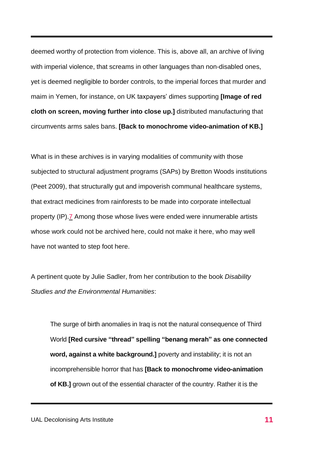deemed worthy of protection from violence. This is, above all, an archive of living with imperial violence, that screams in other languages than non-disabled ones, yet is deemed negligible to border controls, to the imperial forces that murder and maim in Yemen, for instance, on UK taxpayers' dimes supporting **[Image of red cloth on screen, moving further into close up.]** distributed manufacturing that circumvents arms sales bans. **[Back to monochrome video-animation of KB.]**

What is in these archives is in varying modalities of community with those subjected to structural adjustment programs (SAPs) by Bretton Woods institutions (Peet 2009), that structurally gut and impoverish communal healthcare systems, that extract medicines from rainforests to be made into corporate intellectual property (IP)[.7](#page-1-0) Among those whose lives were ended were innumerable artists whose work could not be archived here, could not make it here, who may well have not wanted to step foot here.

A pertinent quote by Julie Sadler, from her contribution to the book *Disability Studies and the Environmental Humanities*:

The surge of birth anomalies in Iraq is not the natural consequence of Third World **[Red cursive "thread" spelling "benang merah" as one connected word, against a white background.]** poverty and instability; it is not an incomprehensible horror that has **[Back to monochrome video-animation of KB.]** grown out of the essential character of the country. Rather it is the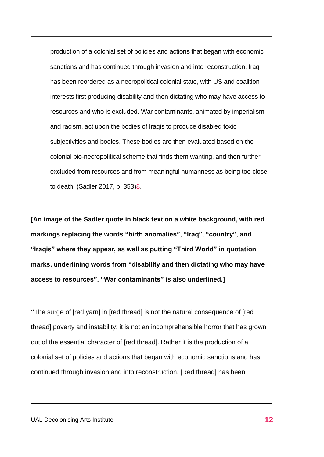production of a colonial set of policies and actions that began with economic sanctions and has continued through invasion and into reconstruction. Iraq has been reordered as a necropolitical colonial state, with US and coalition interests first producing disability and then dictating who may have access to resources and who is excluded. War contaminants, animated by imperialism and racism, act upon the bodies of Iraqis to produce disabled toxic subjectivities and bodies. These bodies are then evaluated based on the colonial bio-necropolitical scheme that finds them wanting, and then further excluded from resources and from meaningful humanness as being too close to death. (Sadler 2017, p. 353[\)8.](#page-1-0)

**[An image of the Sadler quote in black text on a white background, with red markings replacing the words "birth anomalies", "Iraq", "country", and "Iraqis" where they appear, as well as putting "Third World" in quotation marks, underlining words from "disability and then dictating who may have access to resources". "War contaminants" is also underlined.]**

**"**The surge of [red yarn] in [red thread] is not the natural consequence of [red thread] poverty and instability; it is not an incomprehensible horror that has grown out of the essential character of [red thread]. Rather it is the production of a colonial set of policies and actions that began with economic sanctions and has continued through invasion and into reconstruction. [Red thread] has been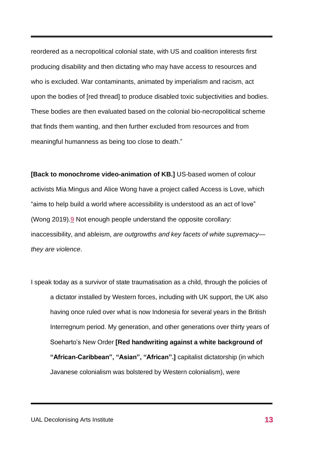reordered as a necropolitical colonial state, with US and coalition interests first producing disability and then dictating who may have access to resources and who is excluded. War contaminants, animated by imperialism and racism, act upon the bodies of [red thread] to produce disabled toxic subjectivities and bodies. These bodies are then evaluated based on the colonial bio-necropolitical scheme that finds them wanting, and then further excluded from resources and from meaningful humanness as being too close to death."

**[Back to monochrome video-animation of KB.]** US-based women of colour activists Mia Mingus and Alice Wong have a project called Access is Love, which "aims to help build a world where accessibility is understood as an act of love" (Wong 2019)[.9](#page-1-0) Not enough people understand the opposite corollary: inaccessibility, and ableism, *are outgrowths and key facets of white supremacy they are violence*.

I speak today as a survivor of state traumatisation as a child, through the policies of a dictator installed by Western forces, including with UK support, the UK also having once ruled over what is now Indonesia for several years in the British Interregnum period. My generation, and other generations over thirty years of Soeharto's New Order **[Red handwriting against a white background of "African-Caribbean", "Asian", "African".]** capitalist dictatorship (in which Javanese colonialism was bolstered by Western colonialism), were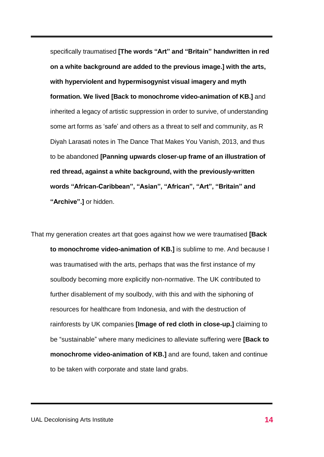specifically traumatised **[The words "Art" and "Britain" handwritten in red on a white background are added to the previous image.] with the arts, with hyperviolent and hypermisogynist visual imagery and myth formation. We lived [Back to monochrome video-animation of KB.]** and inherited a legacy of artistic suppression in order to survive, of understanding some art forms as 'safe' and others as a threat to self and community, as R Diyah Larasati notes in The Dance That Makes You Vanish, 2013, and thus to be abandoned **[Panning upwards closer-up frame of an illustration of red thread, against a white background, with the previously-written words "African-Caribbean", "Asian", "African", "Art", "Britain" and "Archive".]** or hidden.

That my generation creates art that goes against how we were traumatised **[Back to monochrome video-animation of KB.]** is sublime to me. And because I was traumatised with the arts, perhaps that was the first instance of my soulbody becoming more explicitly non-normative. The UK contributed to further disablement of my soulbody, with this and with the siphoning of resources for healthcare from Indonesia, and with the destruction of rainforests by UK companies **[Image of red cloth in close-up.]** claiming to be "sustainable" where many medicines to alleviate suffering were **[Back to monochrome video-animation of KB.]** and are found, taken and continue to be taken with corporate and state land grabs.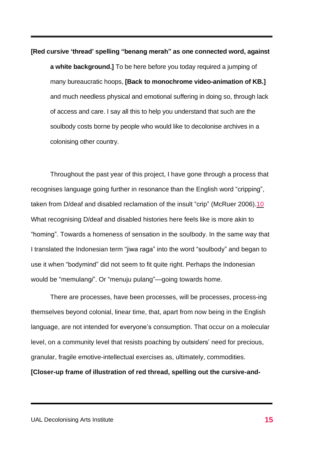**[Red cursive 'thread' spelling "benang merah" as one connected word, against**

**a white background.]** To be here before you today required a jumping of many bureaucratic hoops, **[Back to monochrome video-animation of KB.]** and much needless physical and emotional suffering in doing so, through lack of access and care. I say all this to help you understand that such are the soulbody costs borne by people who would like to decolonise archives in a colonising other country.

Throughout the past year of this project, I have gone through a process that recognises language going further in resonance than the English word "cripping", taken from D/deaf and disabled reclamation of the insult "crip" (McRuer 2006)[.10](#page-38-0) What recognising D/deaf and disabled histories here feels like is more akin to "homing". Towards a homeness of sensation in the soulbody. In the same way that I translated the Indonesian term "jiwa raga" into the word "soulbody" and began to use it when "bodymind" did not seem to fit quite right. Perhaps the Indonesian would be "memulang*i*". Or "menuju pulang"—going towards home.

There are processes, have been processes, will be processes, process-ing themselves beyond colonial, linear time, that, apart from now being in the English language, are not intended for everyone's consumption. That occur on a molecular level, on a community level that resists poaching by outsiders' need for precious, granular, fragile emotive-intellectual exercises as, ultimately, commodities.

**[Closer-up frame of illustration of red thread, spelling out the cursive-and-**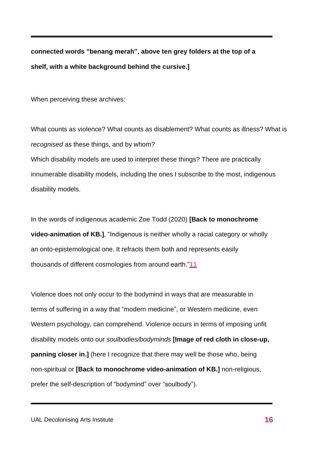**connected words "benang merah", above ten grey folders at the top of a shelf, with a white background behind the cursive.]**

When perceiving these archives:

What counts as violence? What counts as disablement? What counts as illness? What is *recognised* as these things, and by whom? Which disability models are used to interpret these things? There are practically innumerable disability models, including the ones I subscribe to the most, indigenous disability models.

In the words of indigenous academic Zoe Todd (2020) **[Back to monochrome video-animation of KB.]**, "Indigenous is neither wholly a racial category or wholly an onto-epistemological one. It refracts them both and represents easily thousands of different cosmologies from around earth.["11](#page-38-1)

Violence does not only occur to the bodymind in ways that are measurable in terms of suffering in a way that "modern medicine", or Western medicine, even Western psychology, can comprehend. Violence occurs in terms of imposing unfit disability models onto our *soulbodies/bodyminds* **[Image of red cloth in close-up, panning closer in.]** (here I recognize that there may well be those who, being non-spiritual or **[Back to monochrome video-animation of KB.]** non-religious, prefer the self-description of "bodymind" over "soulbody").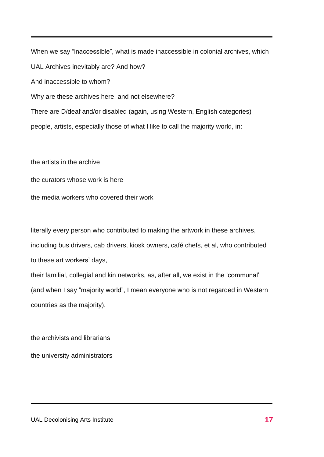When we say "inaccessible", what is made inaccessible in colonial archives, which UAL Archives inevitably are? And how? And inaccessible to whom? Why are these archives here, and not elsewhere? There are D/deaf and/or disabled (again, using Western, English categories) people, artists, especially those of what I like to call the majority world, in:

the artists in the archive

the curators whose work is here

the media workers who covered their work

literally every person who contributed to making the artwork in these archives, including bus drivers, cab drivers, kiosk owners, café chefs, et al, who contributed to these art workers' days,

their familial, collegial and kin networks, as, after all, we exist in the 'communal' (and when I say "majority world", I mean everyone who is not regarded in Western countries as the majority).

the archivists and librarians the university administrators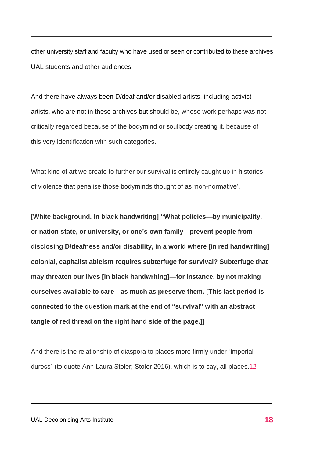other university staff and faculty who have used or seen or contributed to these archives UAL students and other audiences

And there have always been D/deaf and/or disabled artists, including activist artists, who are not in these archives but should be, whose work perhaps was not critically regarded because of the bodymind or soulbody creating it, because of this very identification with such categories.

What kind of art we create to further our survival is entirely caught up in histories of violence that penalise those bodyminds thought of as 'non-normative'.

**[White background. In black handwriting] "What policies—by municipality, or nation state, or university, or one's own family—prevent people from disclosing D/deafness and/or disability, in a world where [in red handwriting] colonial, capitalist ableism requires subterfuge for survival? Subterfuge that may threaten our lives [in black handwriting]—for instance, by not making ourselves available to care—as much as preserve them. [This last period is connected to the question mark at the end of "survival" with an abstract tangle of red thread on the right hand side of the page.]]**

And there is the relationship of diaspora to places more firmly under "imperial duress" (to quote Ann Laura Stoler; Stoler 2016), which is to say, all places[.12](#page-1-0)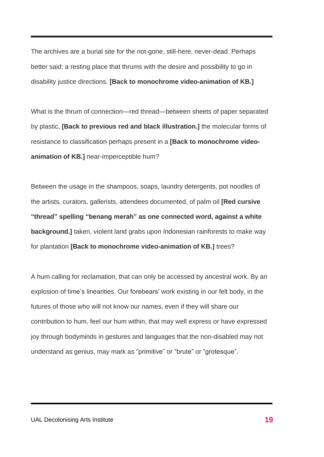The archives are a burial site for the not-gone, still-here, never-dead. Perhaps better said: a resting place that thrums with the desire and possibility to go in disability justice directions. **[Back to monochrome video-animation of KB.]**

What is the thrum of connection—red thread—between sheets of paper separated by plastic, **[Back to previous red and black illustration.]** the molecular forms of resistance to classification perhaps present in a **[Back to monochrome videoanimation of KB.]** near-imperceptible hum?

Between the usage in the shampoos, soaps, laundry detergents, pot noodles of the artists, curators, gallerists, attendees documented, of palm oil **[Red cursive "thread" spelling "benang merah" as one connected word, against a white background.**] taken, violent land grabs upon Indonesian rainforests to make way for plantation **[Back to monochrome video-animation of KB.]** trees?

A hum calling for reclamation, that can only be accessed by ancestral work. By an explosion of time's linearities. Our forebears' work existing in our felt body, in the futures of those who will not know our names, even if they will share our contribution to hum, feel our hum within, that may well express or have expressed joy through bodyminds in gestures and languages that the non-disabled may not understand as genius, may mark as "primitive" or "brute" or "grotesque".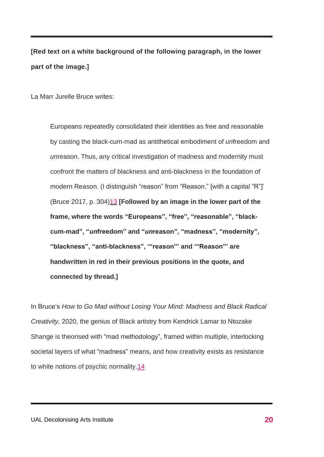**[Red text on a white background of the following paragraph, in the lower part of the image.]**

La Marr Jurelle Bruce writes:

Europeans repeatedly consolidated their identities as free and reasonable by casting the black-cum-mad as antithetical embodiment of *un*freedom and *un*reason. Thus, any critical investigation of madness and modernity must confront the matters of blackness and anti-blackness in the foundation of modern Reason. (I distinguish "reason" from "Reason." [with a capital "R"]' (Bruce 2017, p. 304[\)13](#page-1-0) **[Followed by an image in the lower part of the frame, where the words "Europeans", "free", "reasonable", "blackcum-mad", "***un***freedom" and "***un***reason", "madness", "modernity", "blackness", "anti-blackness", '"reason"' and '"Reason"' are handwritten in red in their previous positions in the quote, and connected by thread.]** 

In Bruce's *How to Go Mad without Losing Your Mind: Madness and Black Radical Creativity,* 2020, the genius of Black artistry from Kendrick Lamar to Ntozake Shange is theorised with "mad methodology", framed within multiple, interlocking societal layers of what "madness" means, and how creativity exists as resistance to white notions of psychic normality[.14](#page-1-0)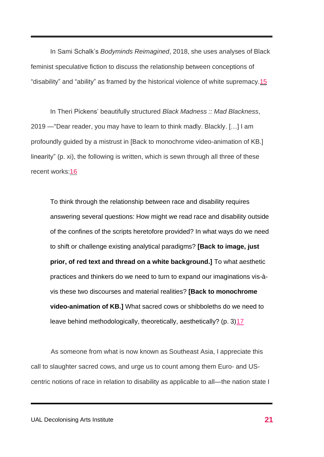In Sami Schalk's *Bodyminds Reimagined*, 2018, she uses analyses of Black feminist speculative fiction to discuss the relationship between conceptions of "disability" and "ability" as framed by the historical violence of white supremacy[.15](#page-1-0)

In Theri Pickens' beautifully structured *Black Madness :: Mad Blackness*, 2019 —"Dear reader, you may have to learn to think madly. Blackly. […] I am profoundly guided by a mistrust in [Back to monochrome video-animation of KB.] linearity" (p. xi), the following is written, which is sewn through all three of these recent works[:16](#page-1-0)

To think through the relationship between race and disability requires answering several questions: How might we read race and disability outside of the confines of the scripts heretofore provided? In what ways do we need to shift or challenge existing analytical paradigms? **[Back to image, just prior, of red text and thread on a white background.]** To what aesthetic practices and thinkers do we need to turn to expand our imaginations vis-àvis these two discourses and material realities? **[Back to monochrome video-animation of KB.]** What sacred cows or shibboleths do we need to leave behind methodologically, theoretically, aesthetically? (p. 3[\)17](#page-1-0)

 As someone from what is now known as Southeast Asia, I appreciate this call to slaughter sacred cows, and urge us to count among them Euro- and UScentric notions of race in relation to disability as applicable to all—the nation state I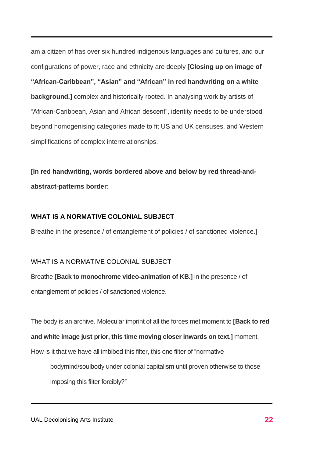am a citizen of has over six hundred indigenous languages and cultures, and our configurations of power, race and ethnicity are deeply **[Closing up on image of "African-Caribbean", "Asian" and "African" in red handwriting on a white background.]** complex and historically rooted. In analysing work by artists of "African-Caribbean, Asian and African descent", identity needs to be understood beyond homogenising categories made to fit US and UK censuses, and Western simplifications of complex interrelationships.

**[In red handwriting, words bordered above and below by red thread-andabstract-patterns border:**

#### **WHAT IS A NORMATIVE COLONIAL SUBJECT**

Breathe in the presence / of entanglement of policies / of sanctioned violence.]

#### WHAT IS A NORMATIVE COLONIAL SUBJECT

Breathe **[Back to monochrome video-animation of KB.]** in the presence / of entanglement of policies / of sanctioned violence.

The body is an archive. Molecular imprint of all the forces met moment to **[Back to red**

**and white image just prior, this time moving closer inwards on text.]** moment.

How is it that we have all imbibed this filter, this one filter of "normative

bodymind/soulbody under colonial capitalism until proven otherwise to those imposing this filter forcibly?"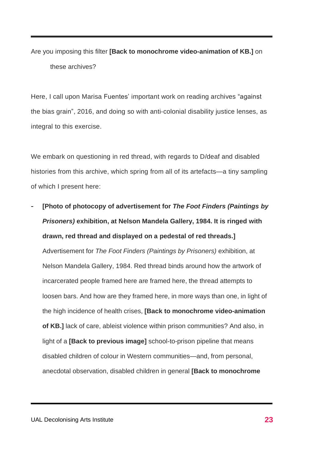Are you imposing this filter **[Back to monochrome video-animation of KB.]** on these archives?

Here, I call upon Marisa Fuentes' important work on reading archives "against the bias grain", 2016, and doing so with anti-colonial disability justice lenses, as integral to this exercise.

We embark on questioning in red thread, with regards to D/deaf and disabled histories from this archive, which spring from all of its artefacts—a tiny sampling of which I present here:

- **[Photo of photocopy of advertisement for** *The Foot Finders (Paintings by Prisoners)* **exhibition, at Nelson Mandela Gallery, 1984. It is ringed with drawn, red thread and displayed on a pedestal of red threads.]** Advertisement for *The Foot Finders (Paintings by Prisoners)* exhibition, at Nelson Mandela Gallery, 1984. Red thread binds around how the artwork of incarcerated people framed here are framed here, the thread attempts to loosen bars. And how are they framed here, in more ways than one, in light of the high incidence of health crises, **[Back to monochrome video-animation of KB.]** lack of care, ableist violence within prison communities? And also, in light of a **[Back to previous image]** school-to-prison pipeline that means disabled children of colour in Western communities—and, from personal, anecdotal observation, disabled children in general **[Back to monochrome**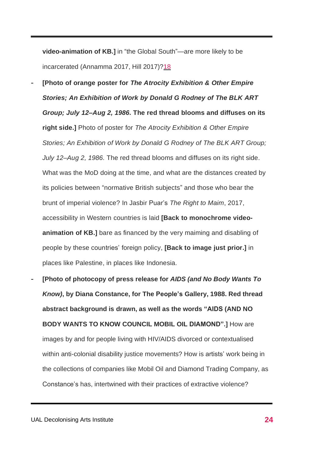**video-animation of KB.]** in "the Global South"—are more likely to be incarcerated (Annamma 2017, Hill 2017)[?18](#page-1-0)

- **[Photo of orange poster for** *The Atrocity Exhibition & Other Empire Stories; An Exhibition of Work by Donald G Rodney of The BLK ART Group; July 12–Aug 2, 1986.* **The red thread blooms and diffuses on its right side.]** Photo of poster for *The Atrocity Exhibition & Other Empire Stories; An Exhibition of Work by Donald G Rodney of The BLK ART Group; July 12–Aug 2, 1986.* The red thread blooms and diffuses on its right side. What was the MoD doing at the time, and what are the distances created by its policies between "normative British subjects" and those who bear the brunt of imperial violence? In Jasbir Puar's *The Right to Maim*, 2017, accessibility in Western countries is laid **[Back to monochrome videoanimation of KB.]** bare as financed by the very maiming and disabling of people by these countries' foreign policy, **[Back to image just prior.]** in places like Palestine, in places like Indonesia.
- **[Photo of photocopy of press release for** *AIDS (and No Body Wants To Know)***, by Diana Constance, for The People's Gallery, 1988. Red thread abstract background is drawn, as well as the words "AIDS (AND NO BODY WANTS TO KNOW COUNCIL MOBIL OIL DIAMOND".]** How are images by and for people living with HIV/AIDS divorced or contextualised within anti-colonial disability justice movements? How is artists' work being in the collections of companies like Mobil Oil and Diamond Trading Company, as Constance's has, intertwined with their practices of extractive violence?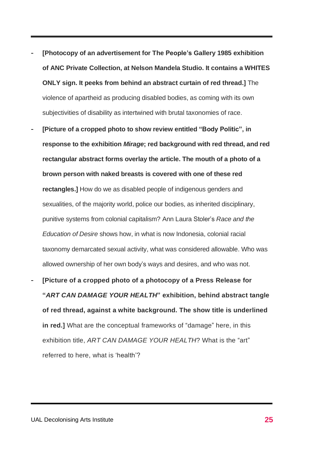- **[Photocopy of an advertisement for The People's Gallery 1985 exhibition of ANC Private Collection, at Nelson Mandela Studio. It contains a WHITES ONLY sign. It peeks from behind an abstract curtain of red thread.]** The violence of apartheid as producing disabled bodies, as coming with its own subjectivities of disability as intertwined with brutal taxonomies of race.
- **[Picture of a cropped photo to show review entitled "Body Politic", in response to the exhibition** *Mirage***; red background with red thread, and red rectangular abstract forms overlay the article. The mouth of a photo of a brown person with naked breasts is covered with one of these red rectangles.]** How do we as disabled people of indigenous genders and sexualities, of the majority world, police our bodies, as inherited disciplinary, punitive systems from colonial capitalism? Ann Laura Stoler's *Race and the Education of Desire* shows how, in what is now Indonesia, colonial racial taxonomy demarcated sexual activity, what was considered allowable. Who was allowed ownership of her own body's ways and desires, and who was not.
- **[Picture of a cropped photo of a photocopy of a Press Release for "***ART CAN DAMAGE YOUR HEALTH***" exhibition, behind abstract tangle of red thread, against a white background. The show title is underlined in red.]** What are the conceptual frameworks of "damage" here, in this exhibition title, *ART CAN DAMAGE YOUR HEALTH*? What is the "art" referred to here, what is 'health'?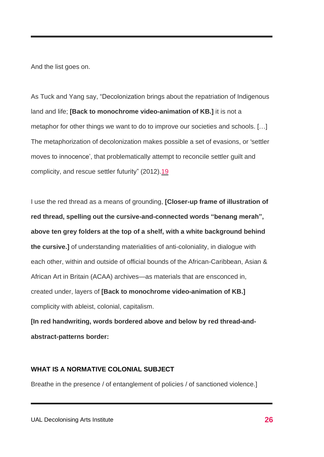And the list goes on.

As Tuck and Yang say, "Decolonization brings about the repatriation of Indigenous land and life; **[Back to monochrome video-animation of KB.]** it is not a metaphor for other things we want to do to improve our societies and schools. […] The metaphorization of decolonization makes possible a set of evasions, or 'settler moves to innocence', that problematically attempt to reconcile settler guilt and complicity, and rescue settler futurity" (2012)[.19](#page-1-0)

I use the red thread as a means of grounding, **[Closer-up frame of illustration of red thread, spelling out the cursive-and-connected words "benang merah", above ten grey folders at the top of a shelf, with a white background behind the cursive.]** of understanding materialities of anti-coloniality, in dialogue with each other, within and outside of official bounds of the African-Caribbean, Asian & African Art in Britain (ACAA) archives—as materials that are ensconced in, created under, layers of **[Back to monochrome video-animation of KB.]** complicity with ableist, colonial, capitalism.

**[In red handwriting, words bordered above and below by red thread-andabstract-patterns border:**

### **WHAT IS A NORMATIVE COLONIAL SUBJECT**

Breathe in the presence / of entanglement of policies / of sanctioned violence.]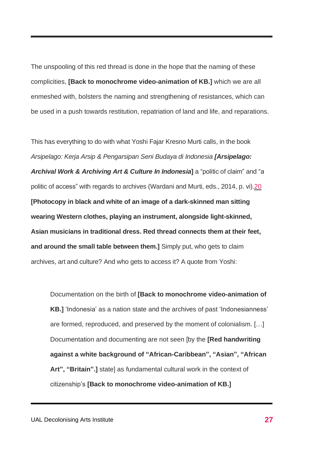The unspooling of this red thread is done in the hope that the naming of these complicities, **[Back to monochrome video-animation of KB.]** which we are all enmeshed with, bolsters the naming and strengthening of resistances, which can be used in a push towards restitution, repatriation of land and life, and reparations.

This has everything to do with what Yoshi Fajar Kresno Murti calls, in the book *Arsipelago: Kerja Arsip & Pengarsipan Seni Budaya di Indonesia [Arsipelago: Archival Work & Archiving Art & Culture In Indonesia***]** a "politic of claim" and "a politic of access" with regards to archives (Wardani and Murti, eds., 2014, p. vi)[.20](#page-1-0) **[Photocopy in black and white of an image of a dark-skinned man sitting wearing Western clothes, playing an instrument, alongside light-skinned, Asian musicians in traditional dress. Red thread connects them at their feet, and around the small table between them.]** Simply put, who gets to claim archives, art and culture? And who gets to access it? A quote from Yoshi:

Documentation on the birth of **[Back to monochrome video-animation of KB.]** 'Indonesia' as a nation state and the archives of past 'Indonesianness' are formed, reproduced, and preserved by the moment of colonialism. […] Documentation and documenting are not seen [by the **[Red handwriting against a white background of "African-Caribbean", "Asian", "African Art", "Britain".]** state] as fundamental cultural work in the context of citizenship's **[Back to monochrome video-animation of KB.]**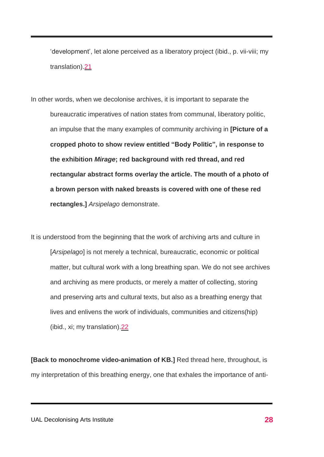'development', let alone perceived as a liberatory project (ibid., p. vii-viii; my translation)[.21](#page-1-0)

In other words, when we decolonise archives, it is important to separate the bureaucratic imperatives of nation states from communal, liberatory politic, an impulse that the many examples of community archiving in **[Picture of a cropped photo to show review entitled "Body Politic", in response to the exhibition** *Mirage***; red background with red thread, and red rectangular abstract forms overlay the article. The mouth of a photo of a brown person with naked breasts is covered with one of these red rectangles.]** *Arsipelago* demonstrate.

It is understood from the beginning that the work of archiving arts and culture in [*Arsipelago*] is not merely a technical, bureaucratic, economic or political matter, but cultural work with a long breathing span. We do not see archives and archiving as mere products, or merely a matter of collecting, storing and preserving arts and cultural texts, but also as a breathing energy that lives and enlivens the work of individuals, communities and citizens(hip) (ibid., xi; my translation)[.22](#page-1-0)

**[Back to monochrome video-animation of KB.]** Red thread here, throughout, is my interpretation of this breathing energy, one that exhales the importance of anti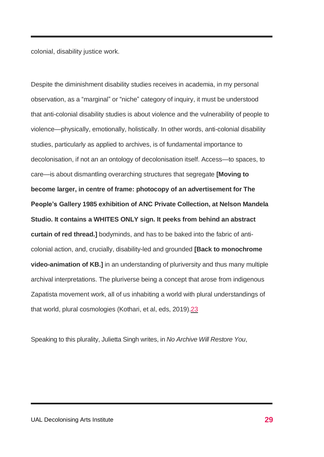colonial, disability justice work.

Despite the diminishment disability studies receives in academia, in my personal observation, as a "marginal" or "niche" category of inquiry, it must be understood that anti-colonial disability studies is about violence and the vulnerability of people to violence—physically, emotionally, holistically. In other words, anti-colonial disability studies, particularly as applied to archives, is of fundamental importance to decolonisation, if not an an ontology of decolonisation itself. Access—to spaces, to care—is about dismantling overarching structures that segregate **[Moving to become larger, in centre of frame: photocopy of an advertisement for The People's Gallery 1985 exhibition of ANC Private Collection, at Nelson Mandela Studio. It contains a WHITES ONLY sign. It peeks from behind an abstract curtain of red thread.]** bodyminds, and has to be baked into the fabric of anticolonial action, and, crucially, disability-led and grounded **[Back to monochrome video-animation of KB.]** in an understanding of pluriversity and thus many multiple archival interpretations. The pluriverse being a concept that arose from indigenous Zapatista movement work, all of us inhabiting a world with plural understandings of that world, plural cosmologies (Kothari, et al, eds, 2019)[.23](#page-1-0)

Speaking to this plurality, Julietta Singh writes, in *No Archive Will Restore You*,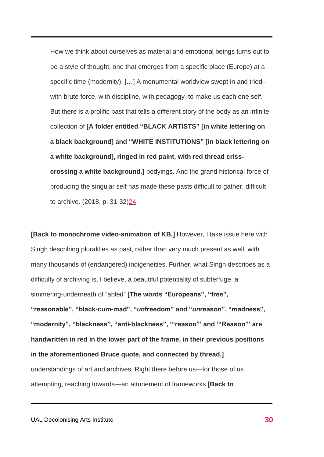How we think about ourselves as material and emotional beings turns out to be a style of thought, one that emerges from a specific place (Europe) at a specific time (modernity). […] A monumental worldview swept in and tried– with brute force, with discipline, with pedagogy–to make us each one self. But there is a prolific past that tells a different story of the body as an infinite collection of **[A folder entitled "BLACK ARTISTS" [in white lettering on a black background] and "WHITE INSTITUTIONS" [in black lettering on a white background], ringed in red paint, with red thread crisscrossing a white background.]** bodyings. And the grand historical force of producing the singular self has made these pasts difficult to gather, difficult to archive. (2018, p. 31-32[\)24](#page-1-0)

**[Back to monochrome video-animation of KB.]** However, I take issue here with Singh describing pluralities as past, rather than very much present as well, with many thousands of (endangered) indigeneities. Further, what Singh describes as a difficulty of archiving is, I believe, a beautiful potentiality of subterfuge, a simmering-underneath of "abled" **[The words "Europeans", "free", "reasonable", "black-cum-mad", "***un***freedom" and "***un***reason", "madness", "modernity", "blackness", "anti-blackness", '"reason"' and '"Reason"' are handwritten in red in the lower part of the frame, in their previous positions in the aforementioned Bruce quote, and connected by thread.]** understandings of art and archives. Right there before us—for those of us attempting, reaching towards—an attunement of frameworks **[Back to**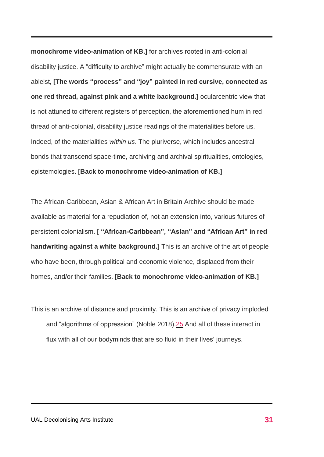**monochrome video-animation of KB.]** for archives rooted in anti-colonial disability justice. A "difficulty to archive" might actually be commensurate with an ableist, **[The words "process" and "joy" painted in red cursive, connected as one red thread, against pink and a white background.]** ocularcentric view that is not attuned to different registers of perception, the aforementioned hum in red thread of anti-colonial, disability justice readings of the materialities before us. Indeed, of the materialities *within us*. The pluriverse, which includes ancestral bonds that transcend space-time, archiving and archival spiritualities, ontologies, epistemologies. **[Back to monochrome video-animation of KB.]**

The African-Caribbean, Asian & African Art in Britain Archive should be made available as material for a repudiation of, not an extension into, various futures of persistent colonialism. **[ "African-Caribbean", "Asian" and "African Art" in red handwriting against a white background.]** This is an archive of the art of people who have been, through political and economic violence, displaced from their homes, and/or their families. **[Back to monochrome video-animation of KB.]**

This is an archive of distance and proximity. This is an archive of privacy imploded and "algorithms of oppression" (Noble 2018)[.25](#page-1-0) And all of these interact in flux with all of our bodyminds that are so fluid in their lives' journeys.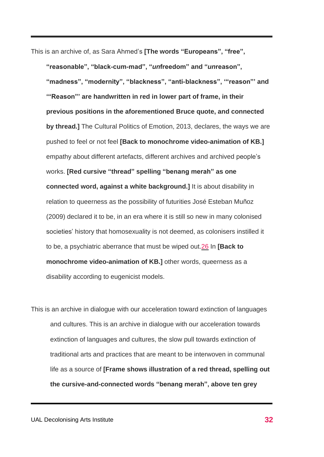This is an archive of, as Sara Ahmed's **[The words "Europeans", "free",**

**"reasonable", "black-cum-mad", "***un***freedom" and "***un***reason", "madness", "modernity", "blackness", "anti-blackness", '"reason"' and '"Reason"' are handwritten in red in lower part of frame, in their previous positions in the aforementioned Bruce quote, and connected by thread.]** The Cultural Politics of Emotion, 2013, declares, the ways we are pushed to feel or not feel **[Back to monochrome video-animation of KB.]** empathy about different artefacts, different archives and archived people's works. **[Red cursive "thread" spelling "benang merah" as one connected word, against a white background.]** It is about disability in relation to queerness as the possibility of futurities José Esteban Muñoz (2009) declared it to be, in an era where it is still so new in many colonised societies' history that homosexuality is not deemed, as colonisers instilled it to be, a psychiatric aberrance that must be wiped out[.26](#page-1-0) In **[Back to monochrome video-animation of KB.]** other words, queerness as a disability according to eugenicist models.

This is an archive in dialogue with our acceleration toward extinction of languages and cultures. This is an archive in dialogue with our acceleration towards extinction of languages and cultures, the slow pull towards extinction of traditional arts and practices that are meant to be interwoven in communal life as a source of **[Frame shows illustration of a red thread, spelling out the cursive-and-connected words "benang merah", above ten grey**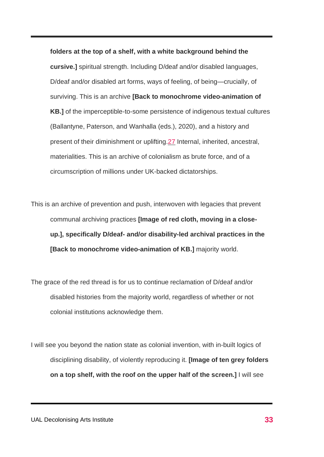**folders at the top of a shelf, with a white background behind the cursive.]** spiritual strength. Including D/deaf and/or disabled languages, D/deaf and/or disabled art forms, ways of feeling, of being—crucially, of surviving. This is an archive **[Back to monochrome video-animation of KB.]** of the imperceptible-to-some persistence of indigenous textual cultures (Ballantyne, Paterson, and Wanhalla (eds.), 2020), and a history and present of their diminishment or uplifting[.27](#page-1-0) Internal, inherited, ancestral, materialities. This is an archive of colonialism as brute force, and of a circumscription of millions under UK-backed dictatorships.

- This is an archive of prevention and push, interwoven with legacies that prevent communal archiving practices **[Image of red cloth, moving in a closeup.], specifically D/deaf- and/or disability-led archival practices in the [Back to monochrome video-animation of KB.]** majority world.
- The grace of the red thread is for us to continue reclamation of D/deaf and/or disabled histories from the majority world, regardless of whether or not colonial institutions acknowledge them.
- I will see you beyond the nation state as colonial invention, with in-built logics of disciplining disability, of violently reproducing it. **[Image of ten grey folders on a top shelf, with the roof on the upper half of the screen.]** I will see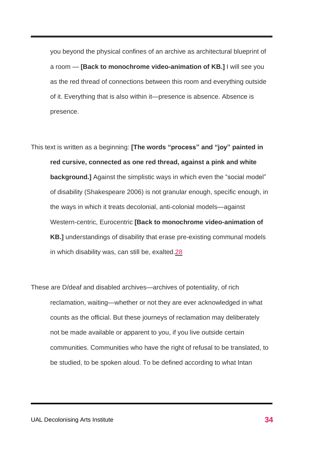you beyond the physical confines of an archive as architectural blueprint of a room — **[Back to monochrome video-animation of KB.]** I will see you as the red thread of connections between this room and everything outside of it. Everything that is also within it—presence is absence. Absence is presence.

This text is written as a beginning: **[The words "process" and "joy" painted in red cursive, connected as one red thread, against a pink and white background.]** Against the simplistic ways in which even the "social model" of disability (Shakespeare 2006) is not granular enough, specific enough, in the ways in which it treats decolonial, anti-colonial models—against Western-centric, Eurocentric **[Back to monochrome video-animation of KB.]** understandings of disability that erase pre-existing communal models in which disability was, can still be, exalted[.28](#page-1-0)

These are D/deaf and disabled archives—archives of potentiality, of rich reclamation, waiting—whether or not they are ever acknowledged in what counts as the official. But these journeys of reclamation may deliberately not be made available or apparent to you, if you live outside certain communities. Communities who have the right of refusal to be translated, to be studied, to be spoken aloud. To be defined according to what Intan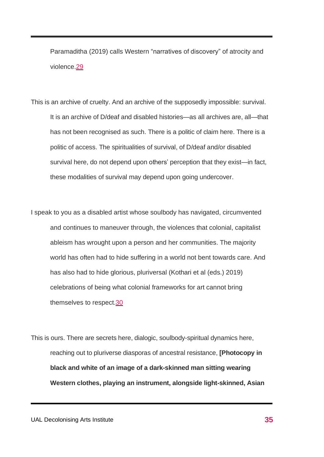Paramaditha (2019) calls Western "narratives of discovery" of atrocity and violence[.29](#page-1-0)

- This is an archive of cruelty. And an archive of the supposedly impossible: survival. It is an archive of D/deaf and disabled histories—as all archives are, all—that has not been recognised as such. There is a politic of claim here. There is a politic of access. The spiritualities of survival, of D/deaf and/or disabled survival here, do not depend upon others' perception that they exist—in fact, these modalities of survival may depend upon going undercover.
- I speak to you as a disabled artist whose soulbody has navigated, circumvented and continues to maneuver through, the violences that colonial, capitalist ableism has wrought upon a person and her communities. The majority world has often had to hide suffering in a world not bent towards care. And has also had to hide glorious, pluriversal (Kothari et al (eds.) 2019) celebrations of being what colonial frameworks for art cannot bring themselves to respect[.30](#page-1-0)

This is ours. There are secrets here, dialogic, soulbody-spiritual dynamics here, reaching out to pluriverse diasporas of ancestral resistance, **[Photocopy in black and white of an image of a dark-skinned man sitting wearing Western clothes, playing an instrument, alongside light-skinned, Asian**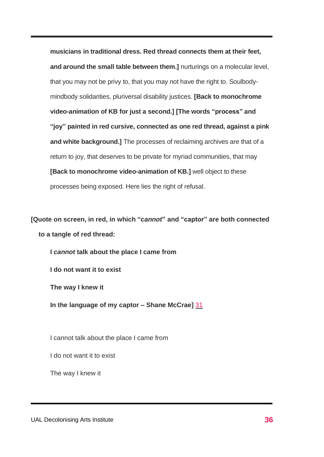**musicians in traditional dress. Red thread connects them at their feet, and around the small table between them.]** nurturings on a molecular level, that you may not be privy to, that you may not have the right to. Soulbodymindbody solidarities, pluriversal disability justices. **[Back to monochrome video-animation of KB for just a second.] [The words "process" and "joy" painted in red cursive, connected as one red thread, against a pink and white background.]** The processes of reclaiming archives are that of a return to joy, that deserves to be private for myriad communities, that may **[Back to monochrome video-animation of KB.]** well object to these processes being exposed. Here lies the right of refusal.

**[Quote on screen, in red, in which "***cannot***" and "captor" are both connected to a tangle of red thread:**

**I** *cannot* **talk about the place I came from**

**I do not want it to exist**

**The way I knew it**

**In the language of my captor – Shane McCrae]** [31](#page-1-0)

I cannot talk about the place I came from

I do not want it to exist

The way I knew it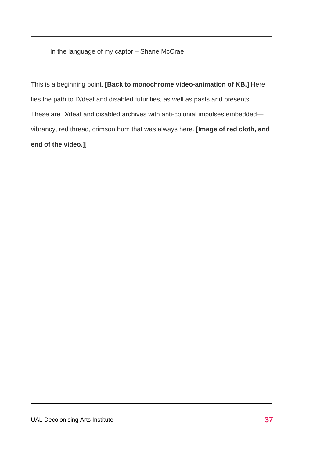In the language of my captor – Shane McCrae

This is a beginning point. **[Back to monochrome video-animation of KB.]** Here lies the path to D/deaf and disabled futurities, as well as pasts and presents. These are D/deaf and disabled archives with anti-colonial impulses embedded vibrancy, red thread, crimson hum that was always here. **[Image of red cloth, and end of the video.]**]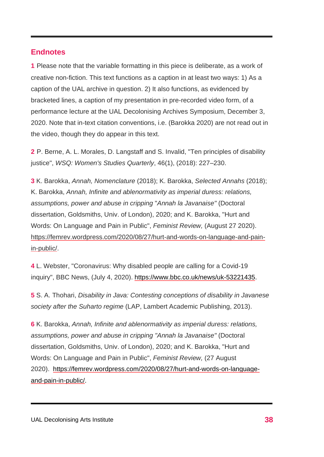## **Endnotes**

**1** Please note that the variable formatting in this piece is deliberate, as a work of creative non-fiction. This text functions as a caption in at least two ways: 1) As a caption of the UAL archive in question. 2) It also functions, as evidenced by bracketed lines, a caption of my presentation in pre-recorded video form, of a performance lecture at the UAL Decolonising Archives Symposium, December 3, 2020. Note that in-text citation conventions, i.e. (Barokka 2020) are not read out in the video, though they do appear in this text.

**2** P. Berne, A. L. Morales, D. Langstaff and S. Invalid, "Ten principles of disability justice", *WSQ: Women's Studies Quarterly*, 46(1), (2018): 227–230.

**3** K. Barokka, *Annah, Nomenclature* (2018); K. Barokka, *Selected Annahs* (2018); K. Barokka, *Annah, Infinite and ablenormativity as imperial duress: relations, assumptions, power and abuse in cripping* "*Annah la Javanaise"* (Doctoral dissertation, Goldsmiths, Univ. of London), 2020; and K. Barokka, "Hurt and Words: On Language and Pain in Public", *Feminist Review,* (August 27 2020). [https://femrev.wordpress.com/2020/08/27/hurt-and-words-on-language-and-pain](https://femrev.wordpress.com/2020/08/27/hurt-and-words-on-language-and-pain-in-public/)[in-public/.](https://femrev.wordpress.com/2020/08/27/hurt-and-words-on-language-and-pain-in-public/)

**4** L. Webster, "Coronavirus: Why disabled people are calling for a Covid-19 inquiry", BBC News, (July 4, 2020). [https://www.bbc.co.uk/news/uk-53221435.](https://www.bbc.co.uk/news/uk-53221435)

**5** S. A. Thohari, *Disability in Java: Contesting conceptions of disability in Javanese society after the Suharto regime* (LAP, Lambert Academic Publishing, 2013).

**6** K. Barokka, *Annah, Infinite and ablenormativity as imperial duress: relations, assumptions, power and abuse in cripping "Annah la Javanaise"* (Doctoral dissertation, Goldsmiths, Univ. of London), 2020; and K. Barokka, "Hurt and Words: On Language and Pain in Public", *Feminist Review,* (27 August 2020). [https://femrev.wordpress.com/2020/08/27/hurt-and-words-on-language](https://femrev.wordpress.com/2020/08/27/hurt-and-words-on-language-and-pain-in-public/)[and-pain-in-public/.](https://femrev.wordpress.com/2020/08/27/hurt-and-words-on-language-and-pain-in-public/)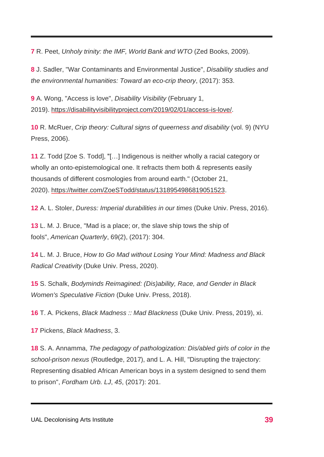**7** R. Peet, *Unholy trinity: the IMF, World Bank and WTO* (Zed Books, 2009).

**8** J. Sadler, "War Contaminants and Environmental Justice", *Disability studies and the environmental humanities: Toward an eco-crip theory*, (2017): 353.

**9** A. Wong, "Access is love", *Disability Visibility* (February 1, 2019). [https://disabilityvisibilityproject.com/2019/02/01/access-is-love/.](https://disabilityvisibilityproject.com/2019/02/01/access-is-love/)

<span id="page-38-0"></span>**10** R. McRuer, *Crip theory: Cultural signs of queerness and disability* (vol. 9) (NYU Press, 2006).

<span id="page-38-1"></span>**11** Z. Todd [Zoe S. Todd], "[…] Indigenous is neither wholly a racial category or wholly an onto-epistemological one. It refracts them both & represents easily thousands of different cosmologies from around earth." (October 21, 2020). [https://twitter.com/ZoeSTodd/status/1318954986819051523.](https://twitter.com/ZoeSTodd/status/1318954986819051523)

**12** A. L. Stoler, *Duress: Imperial durabilities in our times* (Duke Univ. Press, 2016).

**13** L. M. J. Bruce, "Mad is a place; or, the slave ship tows the ship of fools", *American Quarterly*, 69(2), (2017): 304.

**14** L. M. J. Bruce, *How to Go Mad without Losing Your Mind: Madness and Black Radical Creativity* (Duke Univ. Press, 2020).

**15** S. Schalk, *Bodyminds Reimagined: (Dis)ability, Race, and Gender in Black Women's Speculative Fiction* (Duke Univ. Press, 2018).

**16** T. A. Pickens, *Black Madness :: Mad Blackness* (Duke Univ. Press, 2019), xi.

**17** Pickens, *Black Madness*, 3.

**18** S. A. Annamma, *The pedagogy of pathologization: Dis/abled girls of color in the school-prison nexus* (Routledge, 2017), and L. A. Hill, "Disrupting the trajectory: Representing disabled African American boys in a system designed to send them to prison", *Fordham Urb. LJ*, *45*, (2017): 201.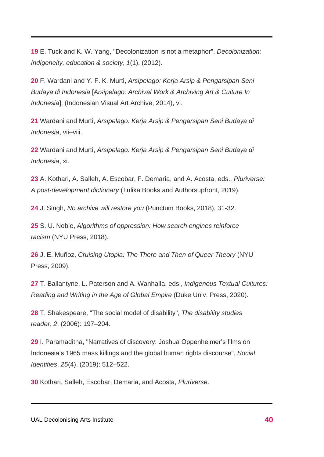**19** E. Tuck and K. W. Yang, "Decolonization is not a metaphor", *Decolonization: Indigeneity, education & society*, *1*(1), (2012).

**20** F. Wardani and Y. F. K. Murti, *Arsipelago: Kerja Arsip & Pengarsipan Seni Budaya di Indonesia* [*Arsipelago: Archival Work & Archiving Art & Culture In Indonesia*], (Indonesian Visual Art Archive, 2014), vi.

**21** Wardani and Murti, *Arsipelago: Kerja Arsip & Pengarsipan Seni Budaya di Indonesia*, vii–viii.

**22** Wardani and Murti, *Arsipelago: Kerja Arsip & Pengarsipan Seni Budaya di Indonesia*, xi.

**23** A. Kothari, A. Salleh, A. Escobar, F. Demaria, and A. Acosta, eds., *Pluriverse: A post-development dictionary* (Tulika Books and Authorsupfront, 2019).

**24** J. Singh, *No archive will restore you* (Punctum Books, 2018), 31-32.

**25** S. U. Noble, *Algorithms of oppression: How search engines reinforce racism* (NYU Press, 2018).

**26** J. E. Muñoz, *Cruising Utopia: The There and Then of Queer Theory* (NYU Press, 2009).

**27** T. Ballantyne, L. Paterson and A. Wanhalla, eds., *Indigenous Textual Cultures: Reading and Writing in the Age of Global Empire* (Duke Univ. Press, 2020).

**28** T. Shakespeare, "The social model of disability", *The disability studies reader*, *2*, (2006): 197–204.

**29** I. Paramaditha, "Narratives of discovery: Joshua Oppenheimer's films on Indonesia's 1965 mass killings and the global human rights discourse", *Social Identities*, *25*(4), (2019): 512–522.

**30** Kothari, Salleh, Escobar, Demaria, and Acosta, *Pluriverse*.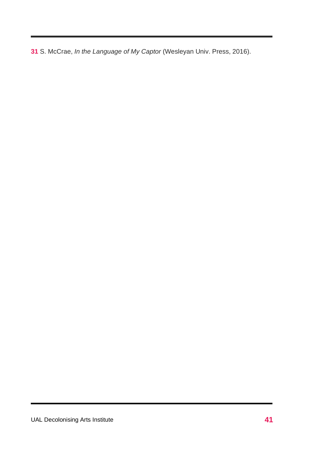**31** S. McCrae, *In the Language of My Captor* (Wesleyan Univ. Press, 2016).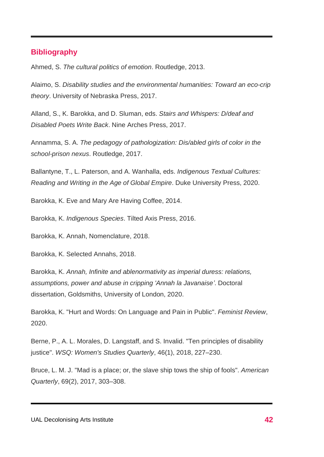### **Bibliography**

Ahmed, S. *The cultural politics of emotion*. Routledge, 2013.

Alaimo, S. *Disability studies and the environmental humanities: Toward an eco-crip theory*. University of Nebraska Press, 2017.

Alland, S., K. Barokka, and D. Sluman, eds. *Stairs and Whispers: D/deaf and Disabled Poets Write Back*. Nine Arches Press, 2017.

Annamma, S. A. *The pedagogy of pathologization: Dis/abled girls of color in the school-prison nexus*. Routledge, 2017.

Ballantyne, T., L. Paterson, and A. Wanhalla, eds. *Indigenous Textual Cultures: Reading and Writing in the Age of Global Empire*. Duke University Press, 2020.

Barokka, K. Eve and Mary Are Having Coffee, 2014.

Barokka, K. *Indigenous Species*. Tilted Axis Press, 2016.

Barokka, K. Annah, Nomenclature, 2018.

Barokka, K. Selected Annahs, 2018.

Barokka, K. *Annah, Infinite and ablenormativity as imperial duress: relations, assumptions, power and abuse in cripping 'Annah la Javanaise'*. Doctoral dissertation, Goldsmiths, University of London, 2020.

Barokka, K. "Hurt and Words: On Language and Pain in Public". *Feminist Review*, 2020.

Berne, P., A. L. Morales, D. Langstaff, and S. Invalid. "Ten principles of disability justice". *WSQ: Women's Studies Quarterly*, 46(1), 2018, 227–230.

Bruce, L. M. J. "Mad is a place; or, the slave ship tows the ship of fools". *American Quarterly*, 69(2), 2017, 303–308.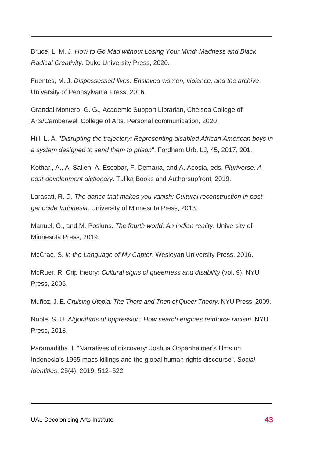Bruce, L. M. J. *How to Go Mad without Losing Your Mind: Madness and Black Radical Creativity.* Duke University Press, 2020.

Fuentes, M. J. *Dispossessed lives: Enslaved women, violence, and the archive*. University of Pennsylvania Press, 2016.

Grandal Montero, G. G., Academic Support Librarian, Chelsea College of Arts/Camberwell College of Arts. Personal communication, 2020.

Hill, L. A. "*Disrupting the trajectory: Representing disabled African American boys in a system designed to send them to prison*". Fordham Urb. LJ, 45, 2017, 201.

Kothari, A., A. Salleh, A. Escobar, F. Demaria, and A. Acosta, eds. *Pluriverse: A post-development dictionary*. Tulika Books and Authorsupfront, 2019.

Larasati, R. D. *The dance that makes you vanish: Cultural reconstruction in postgenocide Indonesia*. University of Minnesota Press, 2013.

Manuel, G., and M. Posluns. *The fourth world: An Indian reality*. University of Minnesota Press, 2019.

McCrae, S. *In the Language of My Captor*. Wesleyan University Press, 2016.

McRuer, R. Crip theory: *Cultural signs of queerness and disability* (vol. 9). NYU Press, 2006.

Muñoz, J. E. *Cruising Utopia: The There and Then of Queer Theory*. NYU Press, 2009.

Noble, S. U. *Algorithms of oppression: How search engines reinforce racism*. NYU Press, 2018.

Paramaditha, I. "Narratives of discovery: Joshua Oppenheimer's films on Indonesia's 1965 mass killings and the global human rights discourse". *Social Identities*, 25(4), 2019, 512–522.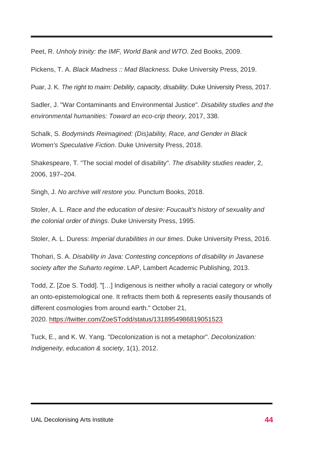Peet, R. *Unholy trinity: the IMF, World Bank and WTO*. Zed Books, 2009.

Pickens, T. A. *Black Madness :: Mad Blackness.* Duke University Press, 2019.

Puar, J. K. *The right to maim: Debility, capacity, disability*. Duke University Press, 2017.

Sadler, J. "War Contaminants and Environmental Justice". *Disability studies and the environmental humanities: Toward an eco-crip theory*, 2017, 338.

Schalk, S. *Bodyminds Reimagined: (Dis)ability, Race, and Gender in Black Women's Speculative Fiction*. Duke University Press, 2018.

Shakespeare, T. "The social model of disability". *The disability studies reader*, 2, 2006, 197–204.

Singh, J. *No archive will restore you*. Punctum Books, 2018.

Stoler, A. L. *Race and the education of desire: Foucault's history of sexuality and the colonial order of things*. Duke University Press, 1995.

Stoler, A. L. Duress: *Imperial durabilities in our times*. Duke University Press, 2016.

Thohari, S. A. *Disability in Java: Contesting conceptions of disability in Javanese society after the Suharto regime*. LAP, Lambert Academic Publishing, 2013.

Todd, Z. [Zoe S. Todd]. "[…] Indigenous is neither wholly a racial category or wholly an onto-epistemological one. It refracts them both & represents easily thousands of different cosmologies from around earth." October 21,

2020. <https://twitter.com/ZoeSTodd/status/1318954986819051523>

Tuck, E., and K. W. Yang. "Decolonization is not a metaphor". *Decolonization: Indigeneity, education & society*, 1(1), 2012.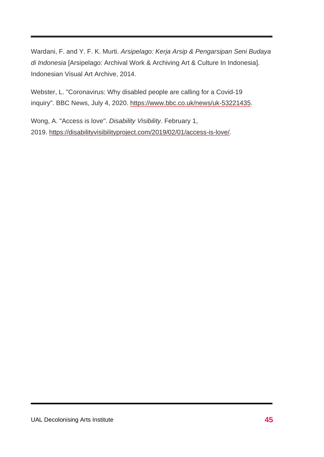Wardani, F. and Y. F. K. Murti. *Arsipelago: Kerja Arsip & Pengarsipan Seni Budaya di Indonesia* [Arsipelago: Archival Work & Archiving Art & Culture In Indonesia]. Indonesian Visual Art Archive, 2014.

Webster, L. "Coronavirus: Why disabled people are calling for a Covid-19 inquiry". BBC News, July 4, 2020. [https://www.bbc.co.uk/news/uk-53221435.](https://www.bbc.co.uk/news/uk-53221435)

Wong, A. "Access is love". *Disability Visibility*. February 1, 2019. [https://disabilityvisibilityproject.com/2019/02/01/access-is-love/.](https://disabilityvisibilityproject.com/2019/02/01/access-is-love/)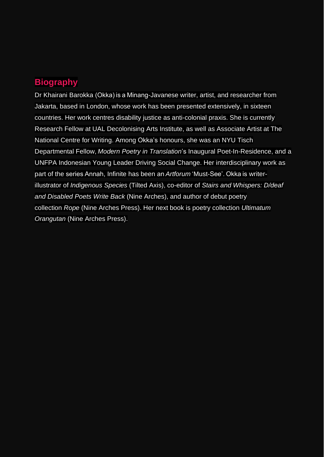# **Biography**

Dr Khairani Barokka (Okka) is a Minang-Javanese writer, artist, and researcher from Jakarta, based in London, whose work has been presented extensively, in sixteen countries. Her work centres disability justice as anti-colonial praxis. She is currently Research Fellow at UAL Decolonising Arts Institute, as well as Associate Artist at The National Centre for Writing. Among Okka's honours, she was an NYU Tisch Departmental Fellow, *Modern Poetry in Translation*'s Inaugural Poet-In-Residence, and a UNFPA Indonesian Young Leader Driving Social Change. Her interdisciplinary work as part of the series Annah, Infinite has been an *Artforum* 'Must-See'. Okka is writerillustrator of *Indigenous Species* (Tilted Axis), co-editor of *Stairs and Whispers: D/deaf and Disabled Poets Write Back* (Nine Arches), and author of debut poetry collection *Rope* (Nine Arches Press). Her next book is poetry collection *Ultimatum Orangutan* (Nine Arches Press).